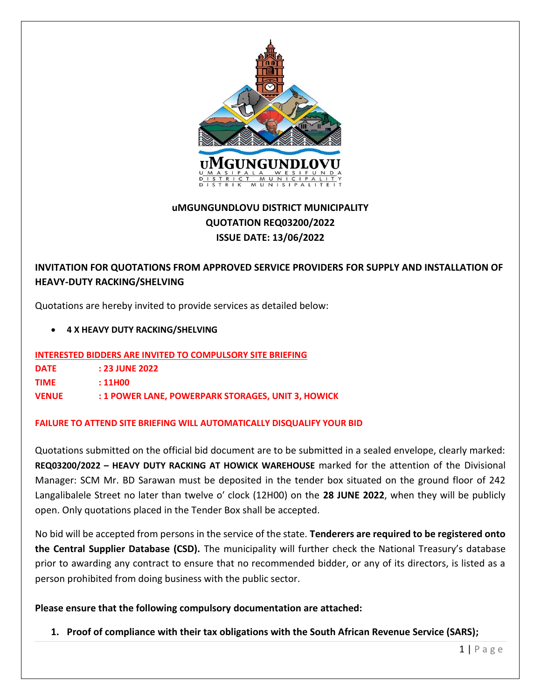

# **uMGUNGUNDLOVU DISTRICT MUNICIPALITY QUOTATION REQ03200/2022 ISSUE DATE: 13/06/2022**

# **INVITATION FOR QUOTATIONS FROM APPROVED SERVICE PROVIDERS FOR SUPPLY AND INSTALLATION OF HEAVY-DUTY RACKING/SHELVING**

Quotations are hereby invited to provide services as detailed below:

• **4 X HEAVY DUTY RACKING/SHELVING**

**INTERESTED BIDDERS ARE INVITED TO COMPULSORY SITE BRIEFING**

**TIME : 11H00**

**VENUE : 1 POWER LANE, POWERPARK STORAGES, UNIT 3, HOWICK**

## **FAILURE TO ATTEND SITE BRIEFING WILL AUTOMATICALLY DISQUALIFY YOUR BID**

Quotations submitted on the official bid document are to be submitted in a sealed envelope, clearly marked: **REQ03200/2022 – HEAVY DUTY RACKING AT HOWICK WAREHOUSE** marked for the attention of the Divisional Manager: SCM Mr. BD Sarawan must be deposited in the tender box situated on the ground floor of 242 Langalibalele Street no later than twelve o′ clock (12H00) on the **28 JUNE 2022**, when they will be publicly open. Only quotations placed in the Tender Box shall be accepted.

No bid will be accepted from persons in the service of the state. **Tenderers are required to be registered onto the Central Supplier Database (CSD).** The municipality will further check the National Treasury's database prior to awarding any contract to ensure that no recommended bidder, or any of its directors, is listed as a person prohibited from doing business with the public sector.

## **Please ensure that the following compulsory documentation are attached:**

**1. Proof of compliance with their tax obligations with the South African Revenue Service (SARS);**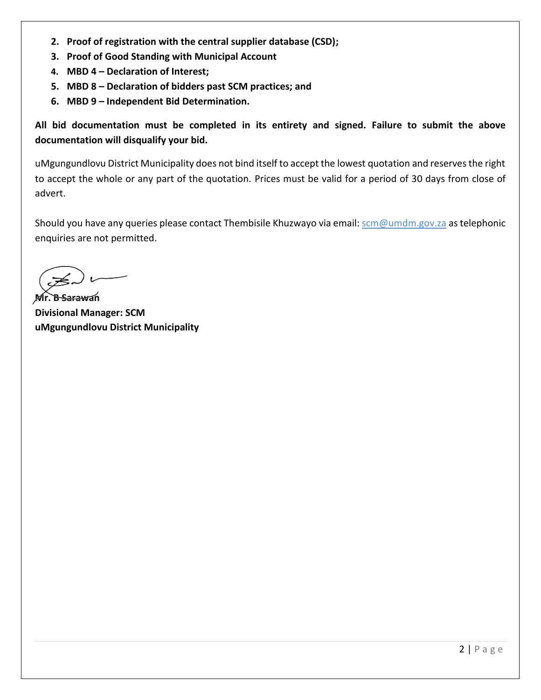- **2. Proof of registration with the central supplier database (CSD);**
- **3. Proof of Good Standing with Municipal Account**
- **4. MBD 4 – Declaration of Interest;**
- **5. MBD 8 – Declaration of bidders past SCM practices; and**
- **6. MBD 9 – Independent Bid Determination.**

**All bid documentation must be completed in its entirety and signed. Failure to submit the above documentation will disqualify your bid.**

uMgungundlovu District Municipality does not bind itself to accept the lowest quotation and reserves the right to accept the whole or any part of the quotation. Prices must be valid for a period of 30 days from close of advert.

Should you have any queries please contact Thembisile Khuzwayo via email: scm@umdm.gov.za as telephonic enquiries are not permitted.

**Mr. B Sarawan Divisional Manager: SCM uMgungundlovu District Municipality**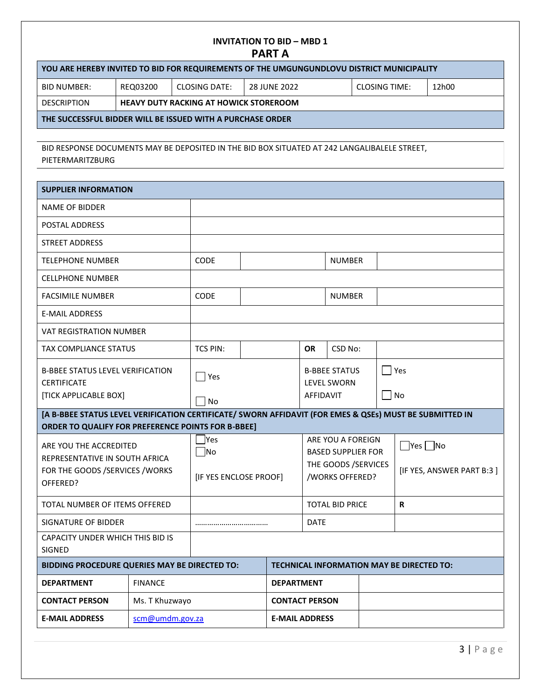## **INVITATION TO BID – MBD 1 PART A**

| YOU ARE HEREBY INVITED TO BID FOR REQUIREMENTS OF THE UMGUNGUNDLOVU DISTRICT MUNICIPALITY |          |               |              |               |       |  |
|-------------------------------------------------------------------------------------------|----------|---------------|--------------|---------------|-------|--|
| BID NUMBER:                                                                               | REQ03200 | CLOSING DATE: | 28 JUNE 2022 | CLOSING TIME: | 12h00 |  |
| <b>DESCRIPTION</b><br><b>HEAVY DUTY RACKING AT HOWICK STOREROOM</b>                       |          |               |              |               |       |  |
| THE SUCCESSFUL BIDDER WILL BE ISSUED WITH A PURCHASE ORDER                                |          |               |              |               |       |  |

BID RESPONSE DOCUMENTS MAY BE DEPOSITED IN THE BID BOX SITUATED AT 242 LANGALIBALELE STREET, PIETERMARITZBURG

| <b>SUPPLIER INFORMATION</b>                                                                                                                                          |                                               |                                            |                       |                       |                   |                                                                                           |  |                                                   |
|----------------------------------------------------------------------------------------------------------------------------------------------------------------------|-----------------------------------------------|--------------------------------------------|-----------------------|-----------------------|-------------------|-------------------------------------------------------------------------------------------|--|---------------------------------------------------|
| <b>NAME OF BIDDER</b>                                                                                                                                                |                                               |                                            |                       |                       |                   |                                                                                           |  |                                                   |
| POSTAL ADDRESS                                                                                                                                                       |                                               |                                            |                       |                       |                   |                                                                                           |  |                                                   |
| <b>STREET ADDRESS</b>                                                                                                                                                |                                               |                                            |                       |                       |                   |                                                                                           |  |                                                   |
| <b>TELEPHONE NUMBER</b>                                                                                                                                              |                                               | <b>CODE</b>                                |                       |                       |                   | <b>NUMBER</b>                                                                             |  |                                                   |
| <b>CELLPHONE NUMBER</b>                                                                                                                                              |                                               |                                            |                       |                       |                   |                                                                                           |  |                                                   |
| <b>FACSIMILE NUMBER</b>                                                                                                                                              |                                               | CODE                                       |                       |                       |                   | <b>NUMBER</b>                                                                             |  |                                                   |
| <b>E-MAIL ADDRESS</b>                                                                                                                                                |                                               |                                            |                       |                       |                   |                                                                                           |  |                                                   |
| <b>VAT REGISTRATION NUMBER</b>                                                                                                                                       |                                               |                                            |                       |                       |                   |                                                                                           |  |                                                   |
| <b>TAX COMPLIANCE STATUS</b>                                                                                                                                         |                                               | <b>TCS PIN:</b>                            |                       |                       | <b>OR</b>         | CSD No:                                                                                   |  |                                                   |
| <b>B-BBEE STATUS LEVEL VERIFICATION</b><br><b>CERTIFICATE</b>                                                                                                        |                                               | $\Box$ Yes                                 |                       |                       |                   | <b>B-BBEE STATUS</b><br><b>LEVEL SWORN</b>                                                |  | $ $ Yes                                           |
| [TICK APPLICABLE BOX]                                                                                                                                                |                                               | No                                         |                       |                       | l No<br>AFFIDAVIT |                                                                                           |  |                                                   |
| [A B-BBEE STATUS LEVEL VERIFICATION CERTIFICATE/ SWORN AFFIDAVIT (FOR EMES & QSEs) MUST BE SUBMITTED IN<br><b>ORDER TO QUALIFY FOR PREFERENCE POINTS FOR B-BBEE]</b> |                                               |                                            |                       |                       |                   |                                                                                           |  |                                                   |
| ARE YOU THE ACCREDITED<br>REPRESENTATIVE IN SOUTH AFRICA<br>FOR THE GOODS /SERVICES / WORKS<br>OFFERED?                                                              |                                               | Yes<br>$\neg$ No<br>[IF YES ENCLOSE PROOF] |                       |                       |                   | ARE YOU A FOREIGN<br><b>BASED SUPPLIER FOR</b><br>THE GOODS / SERVICES<br>/WORKS OFFERED? |  | $\Box$ Yes $\Box$ No<br>[IF YES, ANSWER PART B:3] |
| TOTAL NUMBER OF ITEMS OFFERED                                                                                                                                        |                                               |                                            |                       |                       |                   | <b>TOTAL BID PRICE</b>                                                                    |  | R                                                 |
| SIGNATURE OF BIDDER                                                                                                                                                  |                                               |                                            |                       |                       | <b>DATE</b>       |                                                                                           |  |                                                   |
| CAPACITY UNDER WHICH THIS BID IS<br><b>SIGNED</b>                                                                                                                    |                                               |                                            |                       |                       |                   |                                                                                           |  |                                                   |
|                                                                                                                                                                      | BIDDING PROCEDURE QUERIES MAY BE DIRECTED TO: |                                            |                       |                       |                   |                                                                                           |  | <b>TECHNICAL INFORMATION MAY BE DIRECTED TO:</b>  |
| <b>DEPARTMENT</b>                                                                                                                                                    | <b>FINANCE</b>                                |                                            |                       | <b>DEPARTMENT</b>     |                   |                                                                                           |  |                                                   |
| <b>CONTACT PERSON</b><br>Ms. T Khuzwayo                                                                                                                              |                                               |                                            | <b>CONTACT PERSON</b> |                       |                   |                                                                                           |  |                                                   |
| <b>E-MAIL ADDRESS</b>                                                                                                                                                | scm@umdm.gov.za                               |                                            |                       | <b>E-MAIL ADDRESS</b> |                   |                                                                                           |  |                                                   |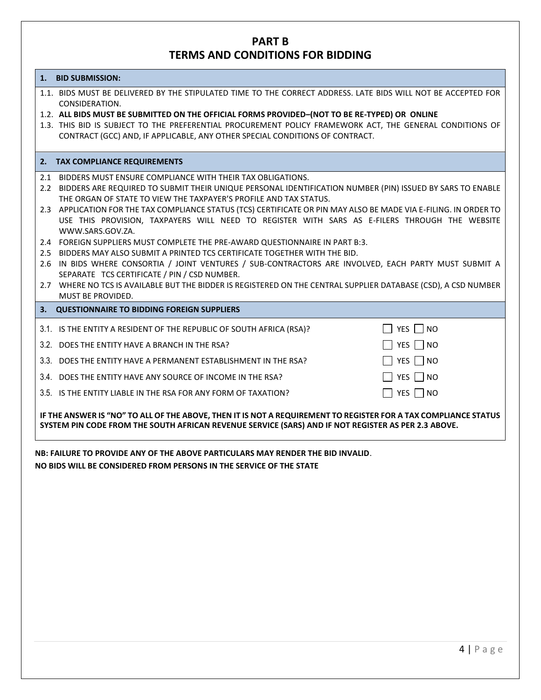## **PART B TERMS AND CONDITIONS FOR BIDDING**

#### **1. BID SUBMISSION:**

1.1. BIDS MUST BE DELIVERED BY THE STIPULATED TIME TO THE CORRECT ADDRESS. LATE BIDS WILL NOT BE ACCEPTED FOR CONSIDERATION.

#### 1.2. **ALL BIDS MUST BE SUBMITTED ON THE OFFICIAL FORMS PROVIDED–(NOT TO BE RE-TYPED) OR ONLINE**

1.3. THIS BID IS SUBJECT TO THE PREFERENTIAL PROCUREMENT POLICY FRAMEWORK ACT, THE GENERAL CONDITIONS OF CONTRACT (GCC) AND, IF APPLICABLE, ANY OTHER SPECIAL CONDITIONS OF CONTRACT.

#### **2. TAX COMPLIANCE REQUIREMENTS**

**3. QUESTIONNAIRE TO BIDDING FOREIGN SUPPLIERS**

- 2.1 BIDDERS MUST ENSURE COMPLIANCE WITH THEIR TAX OBLIGATIONS.
- 2.2 BIDDERS ARE REQUIRED TO SUBMIT THEIR UNIQUE PERSONAL IDENTIFICATION NUMBER (PIN) ISSUED BY SARS TO ENABLE THE ORGAN OF STATE TO VIEW THE TAXPAYER'S PROFILE AND TAX STATUS.
- 2.3 APPLICATION FOR THE TAX COMPLIANCE STATUS (TCS) CERTIFICATE OR PIN MAY ALSO BE MADE VIA E-FILING. IN ORDER TO USE THIS PROVISION, TAXPAYERS WILL NEED TO REGISTER WITH SARS AS E-FILERS THROUGH THE WEBSITE WWW.SARS.GOV.ZA.
- 2.4 FOREIGN SUPPLIERS MUST COMPLETE THE PRE-AWARD QUESTIONNAIRE IN PART B:3.
- 2.5 BIDDERS MAY ALSO SUBMIT A PRINTED TCS CERTIFICATE TOGETHER WITH THE BID.
- 2.6 IN BIDS WHERE CONSORTIA / JOINT VENTURES / SUB-CONTRACTORS ARE INVOLVED, EACH PARTY MUST SUBMIT A SEPARATE TCS CERTIFICATE / PIN / CSD NUMBER.
- 2.7 WHERE NO TCS IS AVAILABLE BUT THE BIDDER IS REGISTERED ON THE CENTRAL SUPPLIER DATABASE (CSD), A CSD NUMBER MUST BE PROVIDED.

| 3.1. IS THE ENTITY A RESIDENT OF THE REPUBLIC OF SOUTH AFRICA (RSA)? | $\Box$ YES $\Box$ NO     |
|----------------------------------------------------------------------|--------------------------|
| 3.2. DOES THE ENTITY HAVE A BRANCH IN THE RSA?                       | $\Box$ YES $\Box$ NO     |
| 3.3. DOES THE ENTITY HAVE A PERMANENT ESTABLISHMENT IN THE RSA?      | $\Box$ YES $\Box$ NO     |
| 3.4. DOES THE ENTITY HAVE ANY SOURCE OF INCOME IN THE RSA?           | $\Box$ YES $\Box$ NO     |
| 3.5. IS THE ENTITY LIABLE IN THE RSA FOR ANY FORM OF TAXATION?       | $\vert$   YES $\vert$ NO |

**IF THE ANSWER IS "NO" TO ALL OF THE ABOVE, THEN IT IS NOT A REQUIREMENT TO REGISTER FOR A TAX COMPLIANCE STATUS SYSTEM PIN CODE FROM THE SOUTH AFRICAN REVENUE SERVICE (SARS) AND IF NOT REGISTER AS PER 2.3 ABOVE.**

**NB: FAILURE TO PROVIDE ANY OF THE ABOVE PARTICULARS MAY RENDER THE BID INVALID**. **NO BIDS WILL BE CONSIDERED FROM PERSONS IN THE SERVICE OF THE STATE**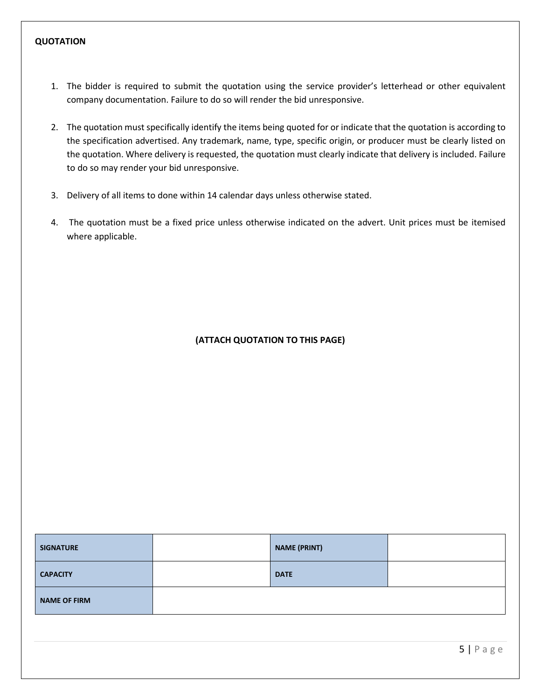### **QUOTATION**

- 1. The bidder is required to submit the quotation using the service provider's letterhead or other equivalent company documentation. Failure to do so will render the bid unresponsive.
- 2. The quotation must specifically identify the items being quoted for or indicate that the quotation is according to the specification advertised. Any trademark, name, type, specific origin, or producer must be clearly listed on the quotation. Where delivery is requested, the quotation must clearly indicate that delivery is included. Failure to do so may render your bid unresponsive.
- 3. Delivery of all items to done within 14 calendar days unless otherwise stated.
- 4. The quotation must be a fixed price unless otherwise indicated on the advert. Unit prices must be itemised where applicable.

## **(ATTACH QUOTATION TO THIS PAGE)**

| <b>SIGNATURE</b>    | <b>NAME (PRINT)</b> |  |
|---------------------|---------------------|--|
| <b>CAPACITY</b>     | <b>DATE</b>         |  |
| <b>NAME OF FIRM</b> |                     |  |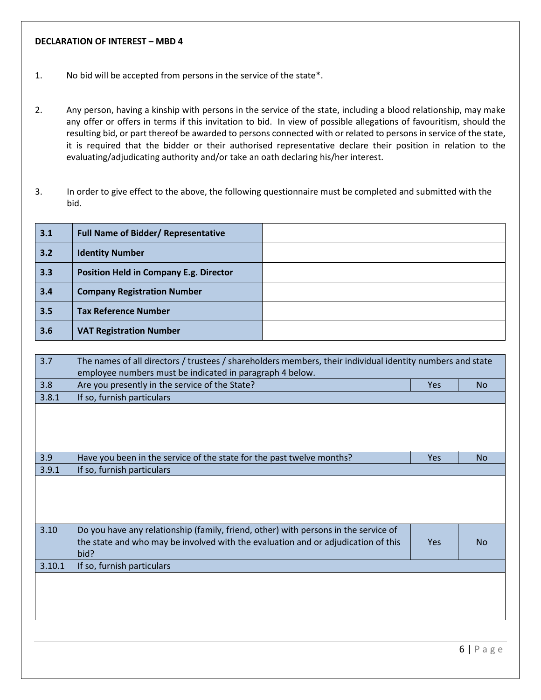## **DECLARATION OF INTEREST – MBD 4**

- 1. No bid will be accepted from persons in the service of the state\*.
- 2. Any person, having a kinship with persons in the service of the state, including a blood relationship, may make any offer or offers in terms if this invitation to bid. In view of possible allegations of favouritism, should the resulting bid, or part thereof be awarded to persons connected with or related to persons in service of the state, it is required that the bidder or their authorised representative declare their position in relation to the evaluating/adjudicating authority and/or take an oath declaring his/her interest.
- 3. In order to give effect to the above, the following questionnaire must be completed and submitted with the bid.

| 3.1 | <b>Full Name of Bidder/ Representative</b>    |  |
|-----|-----------------------------------------------|--|
| 3.2 | <b>Identity Number</b>                        |  |
| 3.3 | <b>Position Held in Company E.g. Director</b> |  |
| 3.4 | <b>Company Registration Number</b>            |  |
| 3.5 | <b>Tax Reference Number</b>                   |  |
| 3.6 | <b>VAT Registration Number</b>                |  |

| 3.7    | The names of all directors / trustees / shareholders members, their individual identity numbers and state |            |           |
|--------|-----------------------------------------------------------------------------------------------------------|------------|-----------|
|        |                                                                                                           |            |           |
|        | employee numbers must be indicated in paragraph 4 below.                                                  |            |           |
| 3.8    | Are you presently in the service of the State?                                                            | <b>Yes</b> | <b>No</b> |
| 3.8.1  | If so, furnish particulars                                                                                |            |           |
|        |                                                                                                           |            |           |
|        |                                                                                                           |            |           |
|        |                                                                                                           |            |           |
|        |                                                                                                           |            |           |
| 3.9    | Have you been in the service of the state for the past twelve months?                                     | <b>Yes</b> | <b>No</b> |
| 3.9.1  | If so, furnish particulars                                                                                |            |           |
|        |                                                                                                           |            |           |
|        |                                                                                                           |            |           |
|        |                                                                                                           |            |           |
|        |                                                                                                           |            |           |
| 3.10   | Do you have any relationship (family, friend, other) with persons in the service of                       |            |           |
|        |                                                                                                           | <b>Yes</b> | <b>No</b> |
|        | the state and who may be involved with the evaluation and or adjudication of this                         |            |           |
|        | bid?                                                                                                      |            |           |
| 3.10.1 | If so, furnish particulars                                                                                |            |           |
|        |                                                                                                           |            |           |
|        |                                                                                                           |            |           |
|        |                                                                                                           |            |           |
|        |                                                                                                           |            |           |
|        |                                                                                                           |            |           |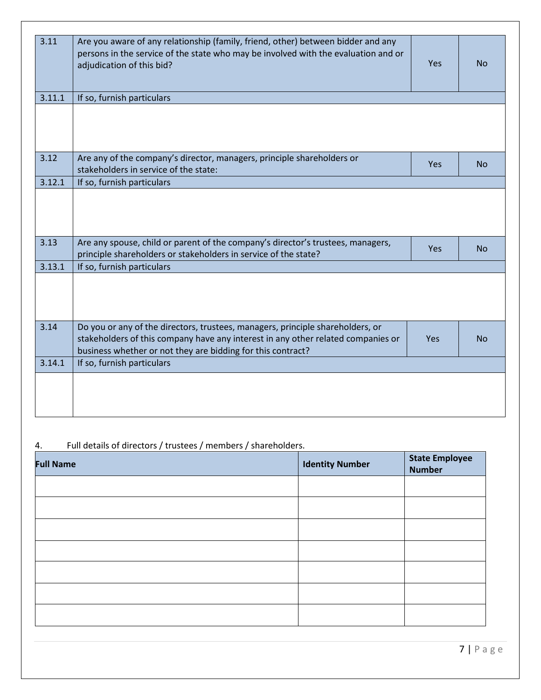| 3.11   | Are you aware of any relationship (family, friend, other) between bidder and any<br>persons in the service of the state who may be involved with the evaluation and or<br>adjudication of this bid?                               | Yes | <b>No</b> |
|--------|-----------------------------------------------------------------------------------------------------------------------------------------------------------------------------------------------------------------------------------|-----|-----------|
| 3.11.1 | If so, furnish particulars                                                                                                                                                                                                        |     |           |
|        |                                                                                                                                                                                                                                   |     |           |
| 3.12   | Are any of the company's director, managers, principle shareholders or<br>stakeholders in service of the state:                                                                                                                   | Yes | <b>No</b> |
| 3.12.1 | If so, furnish particulars                                                                                                                                                                                                        |     |           |
| 3.13   | Are any spouse, child or parent of the company's director's trustees, managers,                                                                                                                                                   |     |           |
|        | principle shareholders or stakeholders in service of the state?                                                                                                                                                                   | Yes | No        |
| 3.13.1 | If so, furnish particulars                                                                                                                                                                                                        |     |           |
|        |                                                                                                                                                                                                                                   |     |           |
| 3.14   | Do you or any of the directors, trustees, managers, principle shareholders, or<br>stakeholders of this company have any interest in any other related companies or<br>business whether or not they are bidding for this contract? | Yes | <b>No</b> |
| 3.14.1 | If so, furnish particulars                                                                                                                                                                                                        |     |           |
|        |                                                                                                                                                                                                                                   |     |           |

# 4. Full details of directors / trustees / members / shareholders.

| <b>Full Name</b> | <b>Identity Number</b> | <b>State Employee</b><br><b>Number</b> |
|------------------|------------------------|----------------------------------------|
|                  |                        |                                        |
|                  |                        |                                        |
|                  |                        |                                        |
|                  |                        |                                        |
|                  |                        |                                        |
|                  |                        |                                        |
|                  |                        |                                        |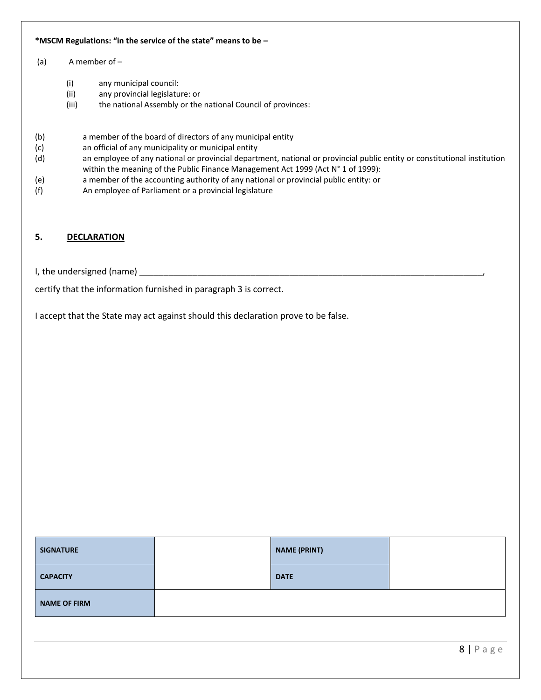#### **\*MSCM Regulations: "in the service of the state" means to be –**

#### (a) A member of –

- (i) any municipal council:
- (ii) any provincial legislature: or
- (iii) the national Assembly or the national Council of provinces:
- (b) a member of the board of directors of any municipal entity
- (c) an official of any municipality or municipal entity
- (d) an employee of any national or provincial department, national or provincial public entity or constitutional institution within the meaning of the Public Finance Management Act 1999 (Act N° 1 of 1999):
- (e) a member of the accounting authority of any national or provincial public entity: or
- (f) An employee of Parliament or a provincial legislature

## **5. DECLARATION**

I, the undersigned (name) \_\_\_\_\_\_\_

certify that the information furnished in paragraph 3 is correct.

I accept that the State may act against should this declaration prove to be false.

| <b>SIGNATURE</b>    | <b>NAME (PRINT)</b> |  |
|---------------------|---------------------|--|
| <b>CAPACITY</b>     | <b>DATE</b>         |  |
| <b>NAME OF FIRM</b> |                     |  |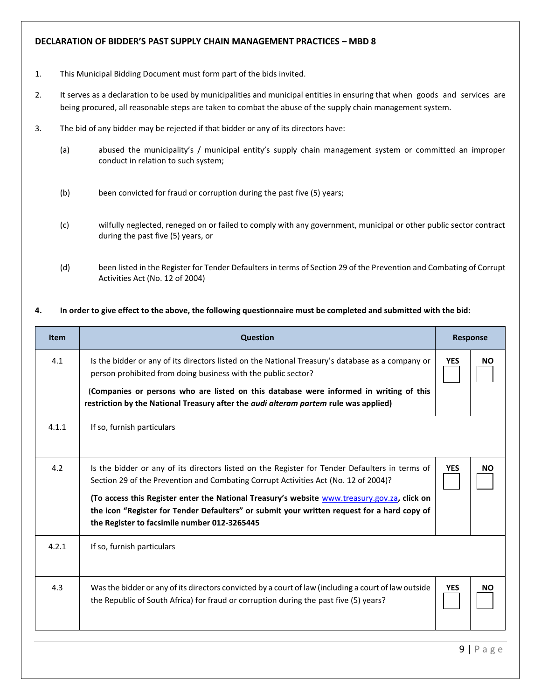## **DECLARATION OF BIDDER'S PAST SUPPLY CHAIN MANAGEMENT PRACTICES – MBD 8**

- 1. This Municipal Bidding Document must form part of the bids invited.
- 2. It serves as a declaration to be used by municipalities and municipal entities in ensuring that when goods and services are being procured, all reasonable steps are taken to combat the abuse of the supply chain management system.
- 3. The bid of any bidder may be rejected if that bidder or any of its directors have:
	- (a) abused the municipality's / municipal entity's supply chain management system or committed an improper conduct in relation to such system;
	- (b) been convicted for fraud or corruption during the past five (5) years;
	- (c) wilfully neglected, reneged on or failed to comply with any government, municipal or other public sector contract during the past five (5) years, or
	- (d) been listed in the Register for Tender Defaulters in terms of Section 29 of the Prevention and Combating of Corrupt Activities Act (No. 12 of 2004)

#### **4. In order to give effect to the above, the following questionnaire must be completed and submitted with the bid:**

| <b>Item</b> | <b>Question</b>                                                                                                                                                                                                                                                                                                                                                                                                                      |            | <b>Response</b> |  |
|-------------|--------------------------------------------------------------------------------------------------------------------------------------------------------------------------------------------------------------------------------------------------------------------------------------------------------------------------------------------------------------------------------------------------------------------------------------|------------|-----------------|--|
| 4.1         | Is the bidder or any of its directors listed on the National Treasury's database as a company or<br>person prohibited from doing business with the public sector?<br>(Companies or persons who are listed on this database were informed in writing of this<br>restriction by the National Treasury after the <i>audi alteram partem</i> rule was applied)                                                                           | <b>YES</b> | <b>NO</b>       |  |
| 4.1.1       | If so, furnish particulars                                                                                                                                                                                                                                                                                                                                                                                                           |            |                 |  |
| 4.2         | Is the bidder or any of its directors listed on the Register for Tender Defaulters in terms of<br>Section 29 of the Prevention and Combating Corrupt Activities Act (No. 12 of 2004)?<br>(To access this Register enter the National Treasury's website www.treasury.gov.za, click on<br>the icon "Register for Tender Defaulters" or submit your written request for a hard copy of<br>the Register to facsimile number 012-3265445 | <b>YES</b> | ΝO              |  |
| 4.2.1       | If so, furnish particulars                                                                                                                                                                                                                                                                                                                                                                                                           |            |                 |  |
| 4.3         | Was the bidder or any of its directors convicted by a court of law (including a court of law outside<br>the Republic of South Africa) for fraud or corruption during the past five (5) years?                                                                                                                                                                                                                                        | <b>YES</b> | <b>NO</b>       |  |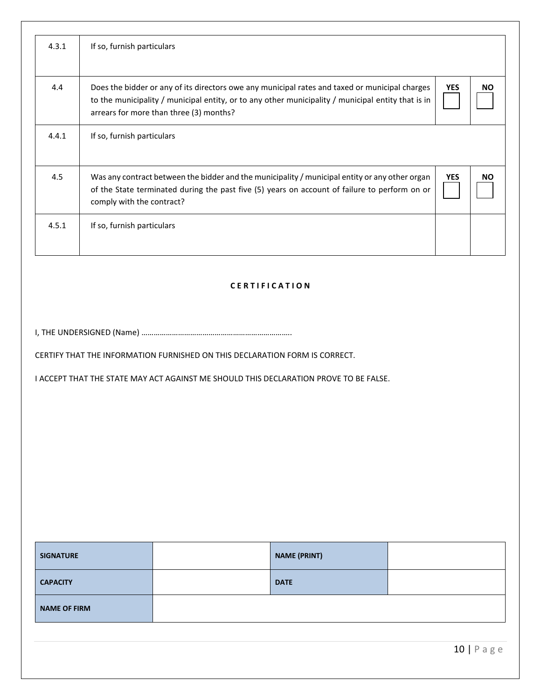| 4.3.1 | If so, furnish particulars                                                                                                                                                                                                                      |            |           |
|-------|-------------------------------------------------------------------------------------------------------------------------------------------------------------------------------------------------------------------------------------------------|------------|-----------|
| 4.4   | Does the bidder or any of its directors owe any municipal rates and taxed or municipal charges<br>to the municipality / municipal entity, or to any other municipality / municipal entity that is in<br>arrears for more than three (3) months? | <b>YES</b> | <b>NO</b> |
| 4.4.1 | If so, furnish particulars                                                                                                                                                                                                                      |            |           |
| 4.5   | Was any contract between the bidder and the municipality / municipal entity or any other organ<br>of the State terminated during the past five (5) years on account of failure to perform on or<br>comply with the contract?                    | <b>YES</b> | <b>NO</b> |
| 4.5.1 | If so, furnish particulars                                                                                                                                                                                                                      |            |           |

## **C E R T I F I C A T I O N**

I, THE UNDERSIGNED (Name) ………………………………………………………………..

CERTIFY THAT THE INFORMATION FURNISHED ON THIS DECLARATION FORM IS CORRECT.

I ACCEPT THAT THE STATE MAY ACT AGAINST ME SHOULD THIS DECLARATION PROVE TO BE FALSE.

| <b>SIGNATURE</b>    | <b>NAME (PRINT)</b> |  |
|---------------------|---------------------|--|
| <b>CAPACITY</b>     | <b>DATE</b>         |  |
| <b>NAME OF FIRM</b> |                     |  |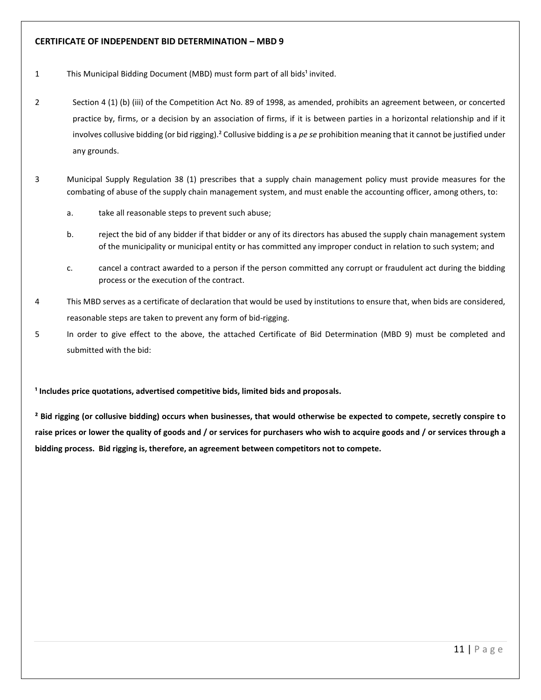## **CERTIFICATE OF INDEPENDENT BID DETERMINATION – MBD 9**

- 1 This Municipal Bidding Document (MBD) must form part of all bids<sup>1</sup> invited.
- 2 Section 4 (1) (b) (iii) of the Competition Act No. 89 of 1998, as amended, prohibits an agreement between, or concerted practice by, firms, or a decision by an association of firms, if it is between parties in a horizontal relationship and if it involves collusive bidding (or bid rigging).² Collusive bidding is a *pe se* prohibition meaning that it cannot be justified under any grounds.
- 3 Municipal Supply Regulation 38 (1) prescribes that a supply chain management policy must provide measures for the combating of abuse of the supply chain management system, and must enable the accounting officer, among others, to:
	- a. take all reasonable steps to prevent such abuse;
	- b. reject the bid of any bidder if that bidder or any of its directors has abused the supply chain management system of the municipality or municipal entity or has committed any improper conduct in relation to such system; and
	- c. cancel a contract awarded to a person if the person committed any corrupt or fraudulent act during the bidding process or the execution of the contract.
- 4 This MBD serves as a certificate of declaration that would be used by institutions to ensure that, when bids are considered, reasonable steps are taken to prevent any form of bid-rigging.
- 5 In order to give effect to the above, the attached Certificate of Bid Determination (MBD 9) must be completed and submitted with the bid:

**¹ Includes price quotations, advertised competitive bids, limited bids and proposals.**

**² Bid rigging (or collusive bidding) occurs when businesses, that would otherwise be expected to compete, secretly conspire to raise prices or lower the quality of goods and / or services for purchasers who wish to acquire goods and / or services through a bidding process. Bid rigging is, therefore, an agreement between competitors not to compete.**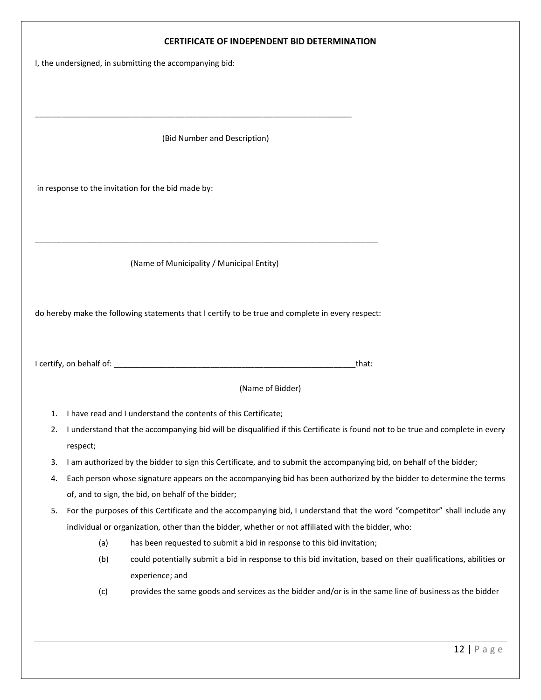## **CERTIFICATE OF INDEPENDENT BID DETERMINATION**

I, the undersigned, in submitting the accompanying bid:

(Bid Number and Description)

\_\_\_\_\_\_\_\_\_\_\_\_\_\_\_\_\_\_\_\_\_\_\_\_\_\_\_\_\_\_\_\_\_\_\_\_\_\_\_\_\_\_\_\_\_\_\_\_\_\_\_\_\_\_\_\_\_\_\_\_\_\_\_\_\_\_\_\_\_\_\_\_

in response to the invitation for the bid made by:

(Name of Municipality / Municipal Entity)

\_\_\_\_\_\_\_\_\_\_\_\_\_\_\_\_\_\_\_\_\_\_\_\_\_\_\_\_\_\_\_\_\_\_\_\_\_\_\_\_\_\_\_\_\_\_\_\_\_\_\_\_\_\_\_\_\_\_\_\_\_\_\_\_\_\_\_\_\_\_\_\_\_\_\_\_\_\_

do hereby make the following statements that I certify to be true and complete in every respect:

I certify, on behalf of: \_\_\_\_\_\_\_\_\_\_\_\_\_\_\_\_\_\_\_\_\_\_\_\_\_\_\_\_\_\_\_\_\_\_\_\_\_\_\_\_\_\_\_\_\_\_\_\_\_\_\_\_\_\_\_that:

(Name of Bidder)

- 1. I have read and I understand the contents of this Certificate;
- 2. I understand that the accompanying bid will be disqualified if this Certificate is found not to be true and complete in every respect;
- 3. I am authorized by the bidder to sign this Certificate, and to submit the accompanying bid, on behalf of the bidder;
- 4. Each person whose signature appears on the accompanying bid has been authorized by the bidder to determine the terms of, and to sign, the bid, on behalf of the bidder;
- 5. For the purposes of this Certificate and the accompanying bid, I understand that the word "competitor" shall include any individual or organization, other than the bidder, whether or not affiliated with the bidder, who:
	- (a) has been requested to submit a bid in response to this bid invitation;
	- (b) could potentially submit a bid in response to this bid invitation, based on their qualifications, abilities or experience; and
	- (c) provides the same goods and services as the bidder and/or is in the same line of business as the bidder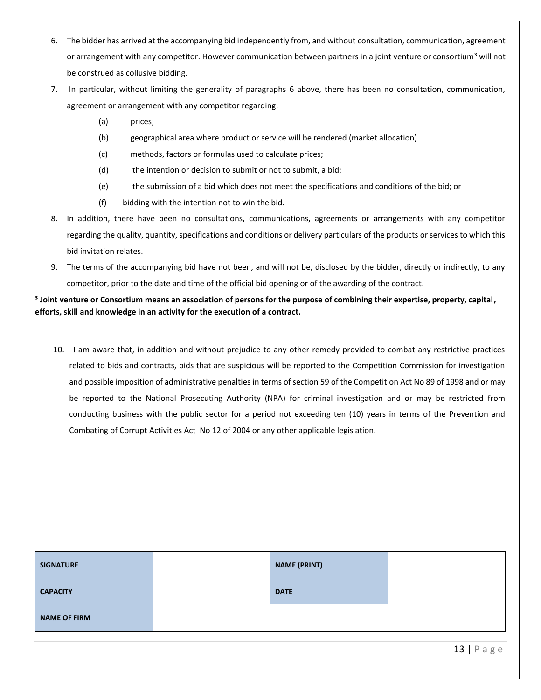- 6. The bidder has arrived at the accompanying bid independently from, and without consultation, communication, agreement or arrangement with any competitor. However communication between partners in a joint venture or consortium<sup>3</sup> will not be construed as collusive bidding.
- 7. In particular, without limiting the generality of paragraphs 6 above, there has been no consultation, communication, agreement or arrangement with any competitor regarding:
	- (a) prices;
	- (b) geographical area where product or service will be rendered (market allocation)
	- (c) methods, factors or formulas used to calculate prices;
	- (d) the intention or decision to submit or not to submit, a bid;
	- (e) the submission of a bid which does not meet the specifications and conditions of the bid; or
	- (f) bidding with the intention not to win the bid.
- 8. In addition, there have been no consultations, communications, agreements or arrangements with any competitor regarding the quality, quantity, specifications and conditions or delivery particulars of the products or services to which this bid invitation relates.
- 9. The terms of the accompanying bid have not been, and will not be, disclosed by the bidder, directly or indirectly, to any competitor, prior to the date and time of the official bid opening or of the awarding of the contract.

## **³ Joint venture or Consortium means an association of persons for the purpose of combining their expertise, property, capital, efforts, skill and knowledge in an activity for the execution of a contract.**

10. I am aware that, in addition and without prejudice to any other remedy provided to combat any restrictive practices related to bids and contracts, bids that are suspicious will be reported to the Competition Commission for investigation and possible imposition of administrative penalties in terms of section 59 of the Competition Act No 89 of 1998 and or may be reported to the National Prosecuting Authority (NPA) for criminal investigation and or may be restricted from conducting business with the public sector for a period not exceeding ten (10) years in terms of the Prevention and Combating of Corrupt Activities Act No 12 of 2004 or any other applicable legislation.

| <b>SIGNATURE</b>    | <b>NAME (PRINT)</b> |  |
|---------------------|---------------------|--|
| <b>CAPACITY</b>     | <b>DATE</b>         |  |
| <b>NAME OF FIRM</b> |                     |  |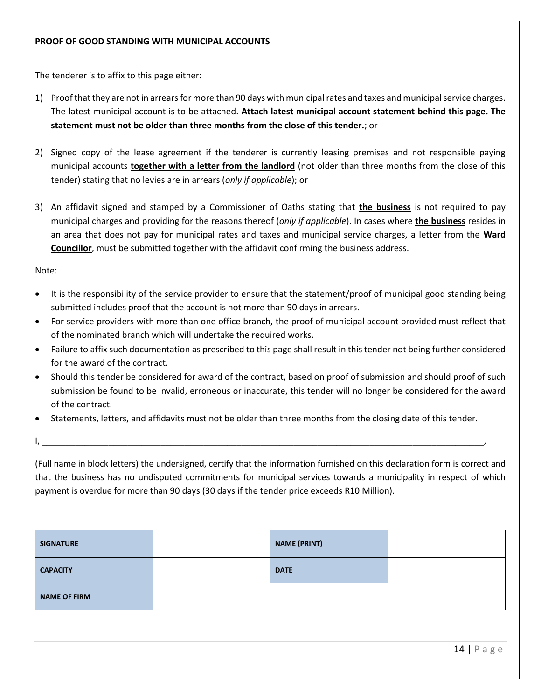The tenderer is to affix to this page either:

- 1) Proof that they are not in arrears for more than 90 days with municipal rates and taxes and municipal service charges. The latest municipal account is to be attached. **Attach latest municipal account statement behind this page. The statement must not be older than three months from the close of this tender.**; or
- 2) Signed copy of the lease agreement if the tenderer is currently leasing premises and not responsible paying municipal accounts **together with a letter from the landlord** (not older than three months from the close of this tender) stating that no levies are in arrears (*only if applicable*); or
- 3) An affidavit signed and stamped by a Commissioner of Oaths stating that **the business** is not required to pay municipal charges and providing for the reasons thereof (*only if applicable*). In cases where **the business** resides in an area that does not pay for municipal rates and taxes and municipal service charges, a letter from the **Ward Councillor**, must be submitted together with the affidavit confirming the business address.

Note:

- It is the responsibility of the service provider to ensure that the statement/proof of municipal good standing being submitted includes proof that the account is not more than 90 days in arrears.
- For service providers with more than one office branch, the proof of municipal account provided must reflect that of the nominated branch which will undertake the required works.
- Failure to affix such documentation as prescribed to this page shall result in this tender not being further considered for the award of the contract.
- Should this tender be considered for award of the contract, based on proof of submission and should proof of such submission be found to be invalid, erroneous or inaccurate, this tender will no longer be considered for the award of the contract.
- Statements, letters, and affidavits must not be older than three months from the closing date of this tender.

I, \_\_\_\_\_\_\_\_\_\_\_\_\_\_\_\_\_\_\_\_\_\_\_\_\_\_\_\_\_\_\_\_\_\_\_\_\_\_\_\_\_\_\_\_\_\_\_\_\_\_\_\_\_\_\_\_\_\_\_\_\_\_\_\_\_\_\_\_\_\_\_\_\_\_\_\_\_\_\_\_\_\_\_\_\_\_\_\_\_\_\_\_\_,

(Full name in block letters) the undersigned, certify that the information furnished on this declaration form is correct and that the business has no undisputed commitments for municipal services towards a municipality in respect of which payment is overdue for more than 90 days (30 days if the tender price exceeds R10 Million).

| <b>SIGNATURE</b>    | <b>NAME (PRINT)</b> |  |
|---------------------|---------------------|--|
| <b>CAPACITY</b>     | <b>DATE</b>         |  |
| <b>NAME OF FIRM</b> |                     |  |